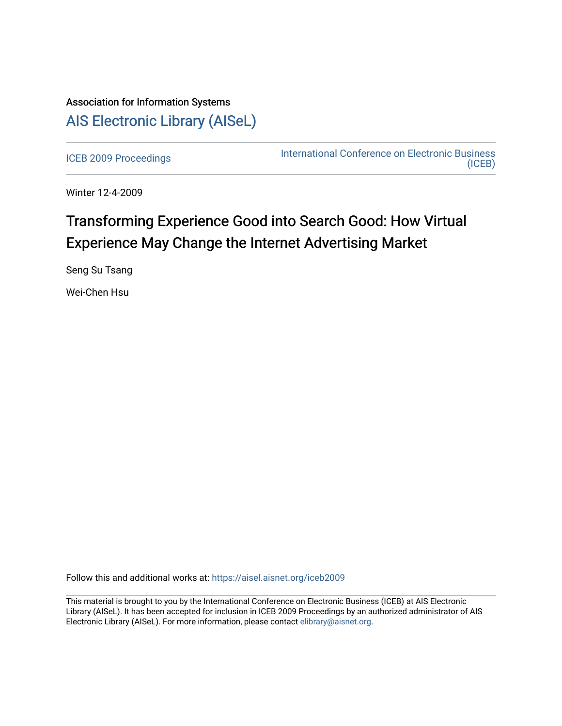## Association for Information Systems [AIS Electronic Library \(AISeL\)](https://aisel.aisnet.org/)

[ICEB 2009 Proceedings](https://aisel.aisnet.org/iceb2009) **International Conference on Electronic Business** [\(ICEB\)](https://aisel.aisnet.org/iceb) 

Winter 12-4-2009

# Transforming Experience Good into Search Good: How Virtual Experience May Change the Internet Advertising Market

Seng Su Tsang

Wei-Chen Hsu

Follow this and additional works at: [https://aisel.aisnet.org/iceb2009](https://aisel.aisnet.org/iceb2009?utm_source=aisel.aisnet.org%2Ficeb2009%2F62&utm_medium=PDF&utm_campaign=PDFCoverPages)

This material is brought to you by the International Conference on Electronic Business (ICEB) at AIS Electronic Library (AISeL). It has been accepted for inclusion in ICEB 2009 Proceedings by an authorized administrator of AIS Electronic Library (AISeL). For more information, please contact [elibrary@aisnet.org.](mailto:elibrary@aisnet.org%3E)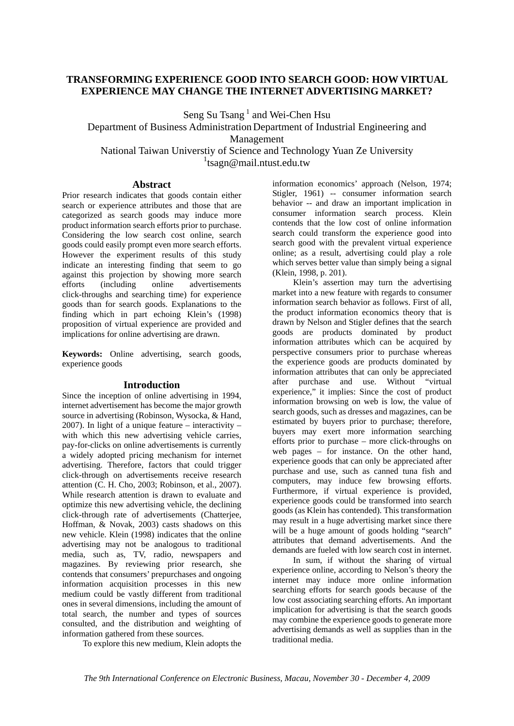## **TRANSFORMING EXPERIENCE GOOD INTO SEARCH GOOD: HOW VIRTUAL EXPERIENCE MAY CHANGE THE INTERNET ADVERTISING MARKET?**

Seng Su Tsang<sup>1</sup> and Wei-Chen Hsu

Department of Business Administration Department of Industrial Engineering and Management National Taiwan Universtiy of Science and Technology Yuan Ze University

<sup>1</sup>tsagn@mail.ntust.edu.tw

### **Abstract**

Prior research indicates that goods contain either search or experience attributes and those that are categorized as search goods may induce more product information search efforts prior to purchase. Considering the low search cost online, search goods could easily prompt even more search efforts. However the experiment results of this study indicate an interesting finding that seem to go against this projection by showing more search efforts (including online advertisements click-throughs and searching time) for experience goods than for search goods. Explanations to the finding which in part echoing Klein's (1998) proposition of virtual experience are provided and implications for online advertising are drawn.

**Keywords:** Online advertising, search goods, experience goods

## **Introduction**

Since the inception of online advertising in 1994, internet advertisement has become the major growth source in advertising (Robinson, Wysocka, & Hand, 2007). In light of a unique feature – interactivity – with which this new advertising vehicle carries, pay-for-clicks on online advertisements is currently a widely adopted pricing mechanism for internet advertising. Therefore, factors that could trigger click-through on advertisements receive research attention (C. H. Cho, 2003; Robinson, et al., 2007). While research attention is drawn to evaluate and optimize this new advertising vehicle, the declining click-through rate of advertisements (Chatterjee, Hoffman, & Novak, 2003) casts shadows on this new vehicle. Klein (1998) indicates that the online advertising may not be analogous to traditional media, such as, TV, radio, newspapers and magazines. By reviewing prior research, she contends that consumers' prepurchases and ongoing information acquisition processes in this new medium could be vastly different from traditional ones in several dimensions, including the amount of total search, the number and types of sources consulted, and the distribution and weighting of information gathered from these sources.

To explore this new medium, Klein adopts the

information economics' approach (Nelson, 1974; Stigler, 1961) -- consumer information search behavior -- and draw an important implication in consumer information search process. Klein contends that the low cost of online information search could transform the experience good into search good with the prevalent virtual experience online; as a result, advertising could play a role which serves better value than simply being a signal (Klein, 1998, p. 201).

 Klein's assertion may turn the advertising market into a new feature with regards to consumer information search behavior as follows. First of all, the product information economics theory that is drawn by Nelson and Stigler defines that the search goods are products dominated by product information attributes which can be acquired by perspective consumers prior to purchase whereas the experience goods are products dominated by information attributes that can only be appreciated after purchase and use. Without "virtual experience," it implies: Since the cost of product information browsing on web is low, the value of search goods, such as dresses and magazines, can be estimated by buyers prior to purchase; therefore, buyers may exert more information searching efforts prior to purchase – more click-throughs on web pages  $-$  for instance. On the other hand, experience goods that can only be appreciated after purchase and use, such as canned tuna fish and computers, may induce few browsing efforts. Furthermore, if virtual experience is provided, experience goods could be transformed into search goods (as Klein has contended). This transformation may result in a huge advertising market since there will be a huge amount of goods holding "search" attributes that demand advertisements. And the demands are fueled with low search cost in internet.

 In sum, if without the sharing of virtual experience online, according to Nelson's theory the internet may induce more online information searching efforts for search goods because of the low cost associating searching efforts. An important implication for advertising is that the search goods may combine the experience goods to generate more advertising demands as well as supplies than in the traditional media.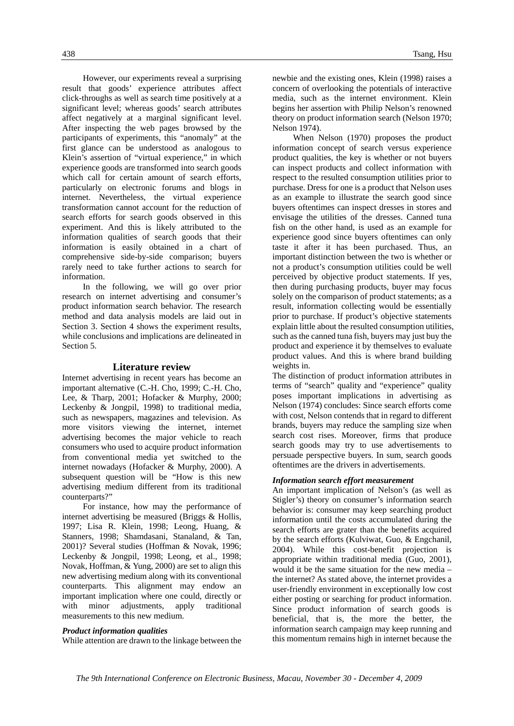However, our experiments reveal a surprising result that goods' experience attributes affect click-throughs as well as search time positively at a significant level; whereas goods' search attributes affect negatively at a marginal significant level. After inspecting the web pages browsed by the participants of experiments, this "anomaly" at the first glance can be understood as analogous to Klein's assertion of "virtual experience," in which experience goods are transformed into search goods which call for certain amount of search efforts, particularly on electronic forums and blogs in internet. Nevertheless, the virtual experience transformation cannot account for the reduction of search efforts for search goods observed in this experiment. And this is likely attributed to the information qualities of search goods that their information is easily obtained in a chart of comprehensive side-by-side comparison; buyers rarely need to take further actions to search for information.

 In the following, we will go over prior research on internet advertising and consumer's product information search behavior. The research method and data analysis models are laid out in Section 3. Section 4 shows the experiment results, while conclusions and implications are delineated in Section 5.

#### **Literature review**

Internet advertising in recent years has become an important alternative (C.-H. Cho, 1999; C.-H. Cho, Lee, & Tharp, 2001; Hofacker & Murphy, 2000; Leckenby & Jongpil, 1998) to traditional media, such as newspapers, magazines and television. As more visitors viewing the internet, internet advertising becomes the major vehicle to reach consumers who used to acquire product information from conventional media yet switched to the internet nowadays (Hofacker & Murphy, 2000). A subsequent question will be "How is this new advertising medium different from its traditional counterparts?"

 For instance, how may the performance of internet advertising be measured (Briggs & Hollis, 1997; Lisa R. Klein, 1998; Leong, Huang, & Stanners, 1998; Shamdasani, Stanaland, & Tan, 2001)? Several studies (Hoffman & Novak, 1996; Leckenby & Jongpil, 1998; Leong, et al., 1998; Novak, Hoffman, & Yung, 2000) are set to align this new advertising medium along with its conventional counterparts. This alignment may endow an important implication where one could, directly or with minor adjustments, apply traditional measurements to this new medium.

#### *Product information qualities*

While attention are drawn to the linkage between the

newbie and the existing ones, Klein (1998) raises a concern of overlooking the potentials of interactive media, such as the internet environment. Klein begins her assertion with Philip Nelson's renowned theory on product information search (Nelson 1970; Nelson 1974).

 When Nelson (1970) proposes the product information concept of search versus experience product qualities, the key is whether or not buyers can inspect products and collect information with respect to the resulted consumption utilities prior to purchase. Dress for one is a product that Nelson uses as an example to illustrate the search good since buyers oftentimes can inspect dresses in stores and envisage the utilities of the dresses. Canned tuna fish on the other hand, is used as an example for experience good since buyers oftentimes can only taste it after it has been purchased. Thus, an important distinction between the two is whether or not a product's consumption utilities could be well perceived by objective product statements. If yes, then during purchasing products, buyer may focus solely on the comparison of product statements; as a result, information collecting would be essentially prior to purchase. If product's objective statements explain little about the resulted consumption utilities, such as the canned tuna fish, buyers may just buy the product and experience it by themselves to evaluate product values. And this is where brand building weights in.

The distinction of product information attributes in terms of "search" quality and "experience" quality poses important implications in advertising as Nelson (1974) concludes: Since search efforts come with cost, Nelson contends that in regard to different brands, buyers may reduce the sampling size when search cost rises. Moreover, firms that produce search goods may try to use advertisements to persuade perspective buyers. In sum, search goods oftentimes are the drivers in advertisements.

#### *Information search effort measurement*

An important implication of Nelson's (as well as Stigler's) theory on consumer's information search behavior is: consumer may keep searching product information until the costs accumulated during the search efforts are grater than the benefits acquired by the search efforts (Kulviwat, Guo, & Engchanil, 2004). While this cost-benefit projection is appropriate within traditional media (Guo, 2001), would it be the same situation for the new media – the internet? As stated above, the internet provides a user-friendly environment in exceptionally low cost either posting or searching for product information. Since product information of search goods is beneficial, that is, the more the better, the information search campaign may keep running and this momentum remains high in internet because the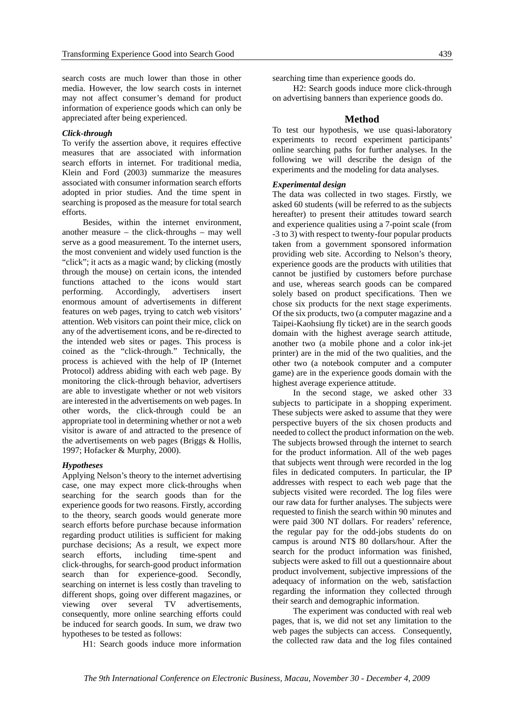search costs are much lower than those in other media. However, the low search costs in internet may not affect consumer's demand for product information of experience goods which can only be appreciated after being experienced.

#### *Click-through*

To verify the assertion above, it requires effective measures that are associated with information search efforts in internet. For traditional media, Klein and Ford (2003) summarize the measures associated with consumer information search efforts adopted in prior studies. And the time spent in searching is proposed as the measure for total search efforts.

 Besides, within the internet environment, another measure – the click-throughs – may well serve as a good measurement. To the internet users, the most convenient and widely used function is the "click"; it acts as a magic wand; by clicking (mostly through the mouse) on certain icons, the intended functions attached to the icons would start performing. Accordingly, advertisers insert enormous amount of advertisements in different features on web pages, trying to catch web visitors' attention. Web visitors can point their mice, click on any of the advertisement icons, and be re-directed to the intended web sites or pages. This process is coined as the "click-through." Technically, the process is achieved with the help of IP (Internet Protocol) address abiding with each web page. By monitoring the click-through behavior, advertisers are able to investigate whether or not web visitors are interested in the advertisements on web pages. In other words, the click-through could be an appropriate tool in determining whether or not a web visitor is aware of and attracted to the presence of the advertisements on web pages (Briggs & Hollis, 1997; Hofacker & Murphy, 2000).

#### *Hypotheses*

Applying Nelson's theory to the internet advertising case, one may expect more click-throughs when searching for the search goods than for the experience goods for two reasons. Firstly, according to the theory, search goods would generate more search efforts before purchase because information regarding product utilities is sufficient for making purchase decisions; As a result, we expect more search efforts, including time-spent and click-throughs, for search-good product information search than for experience-good. Secondly, searching on internet is less costly than traveling to different shops, going over different magazines, or viewing over several TV advertisements, consequently, more online searching efforts could be induced for search goods. In sum, we draw two hypotheses to be tested as follows:

H1: Search goods induce more information

searching time than experience goods do.

 H2: Search goods induce more click-through on advertising banners than experience goods do.

#### **Method**

To test our hypothesis, we use quasi-laboratory experiments to record experiment participants' online searching paths for further analyses. In the following we will describe the design of the experiments and the modeling for data analyses.

#### *Experimental design*

The data was collected in two stages. Firstly, we asked 60 students (will be referred to as the subjects hereafter) to present their attitudes toward search and experience qualities using a 7-point scale (from -3 to 3) with respect to twenty-four popular products taken from a government sponsored information providing web site. According to Nelson's theory, experience goods are the products with utilities that cannot be justified by customers before purchase and use, whereas search goods can be compared solely based on product specifications. Then we chose six products for the next stage experiments. Of the six products, two (a computer magazine and a Taipei-Kaohsiung fly ticket) are in the search goods domain with the highest average search attitude, another two (a mobile phone and a color ink-jet printer) are in the mid of the two qualities, and the other two (a notebook computer and a computer game) are in the experience goods domain with the highest average experience attitude.

 In the second stage, we asked other 33 subjects to participate in a shopping experiment. These subjects were asked to assume that they were perspective buyers of the six chosen products and needed to collect the product information on the web. The subjects browsed through the internet to search for the product information. All of the web pages that subjects went through were recorded in the log files in dedicated computers. In particular, the IP addresses with respect to each web page that the subjects visited were recorded. The log files were our raw data for further analyses. The subjects were requested to finish the search within 90 minutes and were paid 300 NT dollars. For readers' reference, the regular pay for the odd-jobs students do on campus is around NT\$ 80 dollars/hour. After the search for the product information was finished, subjects were asked to fill out a questionnaire about product involvement, subjective impressions of the adequacy of information on the web, satisfaction regarding the information they collected through their search and demographic information.

 The experiment was conducted with real web pages, that is, we did not set any limitation to the web pages the subjects can access. Consequently, the collected raw data and the log files contained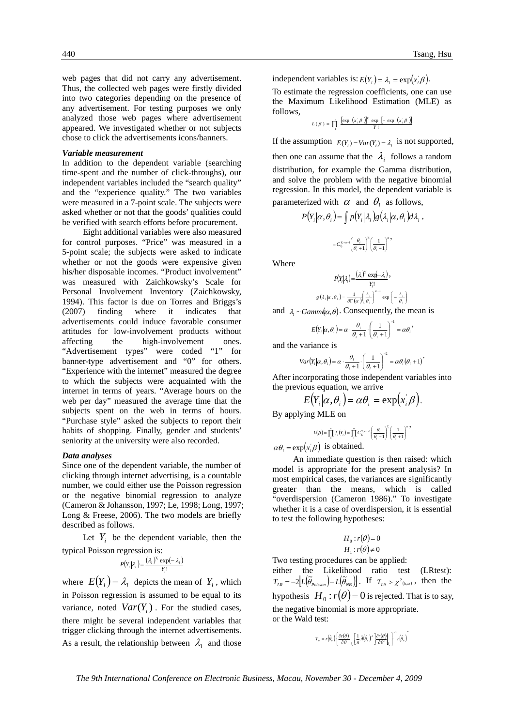web pages that did not carry any advertisement. Thus, the collected web pages were firstly divided into two categories depending on the presence of any advertisement. For testing purposes we only analyzed those web pages where advertisement appeared. We investigated whether or not subjects chose to click the advertisements icons/banners.

#### *Variable measurement*

In addition to the dependent variable (searching time-spent and the number of click-throughs), our independent variables included the "search quality" and the "experience quality." The two variables were measured in a 7-point scale. The subjects were asked whether or not that the goods' qualities could be verified with search efforts before procurement.

 Eight additional variables were also measured for control purposes. "Price" was measured in a 5-point scale; the subjects were asked to indicate whether or not the goods were expensive given his/her disposable incomes. "Product involvement" was measured with Zaichkowsky's Scale for Personal Involvement Inventory (Zaichkowsky, 1994). This factor is due on Torres and Briggs's (2007) finding where it indicates that advertisements could induce favorable consumer attitudes for low-involvement products without affecting the high-involvement ones. "Advertisement types" were coded "1" for banner-type advertisement and "0" for others. "Experience with the internet" measured the degree to which the subjects were acquainted with the internet in terms of years. "Average hours on the web per day" measured the average time that the subjects spent on the web in terms of hours. "Purchase style" asked the subjects to report their habits of shopping. Finally, gender and students' seniority at the university were also recorded.

#### *Data analyses*

Since one of the dependent variable, the number of clicking through internet advertising, is a countable number, we could either use the Poisson regression or the negative binomial regression to analyze (Cameron & Johansson, 1997; Le, 1998; Long, 1997; Long & Freese, 2006). The two models are briefly described as follows.

Let  $Y_i$  be the dependent variable, then the typical Poisson regression is:

$$
P(Y_i|\lambda_i) = \frac{(\lambda_i)^{Y_i} \exp(-\lambda_i)}{Y_i!}
$$

where  $E(Y_i) = \lambda_i$  depicts the mean of  $Y_i$ , which in Poisson regression is assumed to be equal to its variance, noted  $Var(Y_i)$ . For the studied cases, there might be several independent variables that trigger clicking through the internet advertisements. As a result, the relationship between  $\lambda_i$  and those

independent variables is:  $E(Y_i) = \lambda_i = \exp(x_i \beta)$ .

To estimate the regression coefficients, one can use the Maximum Likelihood Estimation (MLE) as follows,

$$
L(\beta) = \prod_{i=1}^{n} \frac{\left[\exp\left(x_{i}\beta\right)\right]^{y_{i}} \exp\left[-\exp\left(x_{i}\beta\right)\right]}{Y!}
$$

If the assumption  $E(Y_i) = Var(Y_i) = \lambda_i$  is not supported, then one can assume that the  $\lambda_i$  follows a random distribution, for example the Gamma distribution, and solve the problem with the negative binomial regression. In this model, the dependent variable is parameterized with  $\alpha$  and  $\theta_i$  as follows,

$$
P(Y_i|\alpha, \theta_i) = \int p(Y_i|\lambda_i) g(\lambda_i|\alpha, \theta_i) d\lambda_i,
$$
  

$$
= C_{\lambda}^{x_i \cdot \alpha - 1} \left(\frac{\theta_i}{\theta_i + 1}\right)^{x_i} \left(\frac{1}{\theta_i + 1}\right)^{\alpha},
$$

Where

$$
P(Y_i|\lambda_i) = \frac{(\lambda_i)^{Y_i} \exp(-\lambda_i)}{Y_i!},
$$
  

$$
g(\lambda_i|\alpha,\theta_i) = \frac{1}{\theta \Gamma(\alpha)} \left(\frac{\lambda_i}{\theta_i}\right)^{\alpha-1} \exp\left(-\frac{\lambda_i}{\theta_i}\right)
$$

and 
$$
\lambda_i \sim \text{Gamma}(\alpha, \theta)
$$
. Consequently, the mean is

$$
E(Y_i|\alpha,\theta_i) = \alpha \cdot \frac{\theta_i}{\theta_i+1} \cdot \left(\frac{1}{\theta_i+1}\right)^{-1} = \alpha \theta_i,
$$

and the variance is

$$
Var(Y_i|\alpha, \theta_i) = \alpha \cdot \frac{\theta_i}{\theta_i + 1} \cdot \left(\frac{1}{\theta_i + 1}\right)^{-2} = \alpha \theta_i(\theta_i + 1)^{-1}
$$

After incorporating those independent variables into the previous equation, we arrive

$$
E(Y_i|\alpha,\theta_i)=\alpha\theta_i=\exp(x_i\beta).
$$

By applying MLE on  

$$
I(\theta) \stackrel{\text{d}}{\prod} f(x) = \frac{\text{d}}{\prod} f(x) e^{x + \alpha x} \left( \frac{\theta}{\theta} \right)^{x}.
$$

$$
L(\beta) = \prod_{i=1}^{n} f_i(Y_i) = \prod_{i=1}^{n} C_{Y_i}^{Y_i + \alpha - 1} \left( \frac{\theta_i}{\theta_i + 1} \right)^{Y_i} \left( \frac{1}{\theta_i + 1} \right)^{\alpha},
$$

 $\alpha \theta_i = \exp(x_i \beta)$  is obtained.

 An immediate question is then raised: which model is appropriate for the present analysis? In most empirical cases, the variances are significantly greater than the means, which is called "overdispersion (Cameron 1986)." To investigate whether it is a case of overdispersion, it is essential to test the following hypotheses:

$$
H_0: r(\theta) = 0
$$
  

$$
H_1: r(\theta) \neq 0
$$

Two testing procedures can be applied:

either the Likelihood ratio test (LRtest):  $T_{LR} = -2 \Big[ L \Big( \widetilde{\theta}_{Poisson} \Big) - L \Big( \widetilde{\theta}_{NB} \Big) \Big]$ . If  $T_{LR} > \chi^2(n \cdot \alpha)$ , then the hypothesis  $H_0$ :  $r(\theta) = 0$  is rejected. That is to say, the negative binomial is more appropriate. or the Wald test:

$$
T_{_w}=r\Big(\!\hat{\theta}_{_u}\Big)\!\left\{\!\frac{\partial r(\theta)}{\partial\theta}\bigg|_{\theta_{_u}}\!\!\left[\frac{1}{n}\hat{A}\Big(\!\hat{\theta}_{_u}\Big)^{\!-1}\right]\!\!\frac{\partial r(\theta)}{\partial\theta'}\bigg|_{\theta_{_u}}\right\}^{-1}r\Big(\!\hat{\theta}_{_u}\Big)^{\!-1}
$$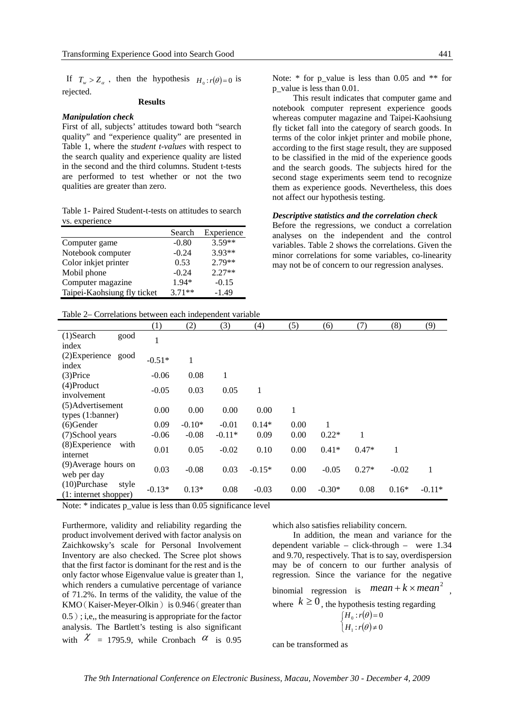If  $T_w > Z_\alpha$ , then the hypothesis  $H_0: r(\theta) = 0$  is rejected.

#### **Results**

#### *Manipulation check*

First of all, subjects' attitudes toward both "search quality" and "experience quality" are presented in Table 1, where the *student t-values* with respect to the search quality and experience quality are listed in the second and the third columns. Student t-tests are performed to test whether or not the two qualities are greater than zero.

Table 1- Paired Student-t-tests on attitudes to search vs. experience

|                             | Search   | Experience |
|-----------------------------|----------|------------|
| Computer game               | $-0.80$  | $3.59**$   |
| Notebook computer           | $-0.24$  | $3.93**$   |
| Color inkjet printer        | 0.53     | $2.79**$   |
| Mobil phone                 | $-0.24$  | $2.27**$   |
| Computer magazine           | 1.94*    | $-0.15$    |
| Taipei-Kaohsiung fly ticket | $3.71**$ | $-1.49$    |
|                             |          |            |

This result indicates that computer game and notebook computer represent experience goods whereas computer magazine and Taipei-Kaohsiung fly ticket fall into the category of search goods. In terms of the color inkjet printer and mobile phone, according to the first stage result, they are supposed to be classified in the mid of the experience goods and the search goods. The subjects hired for the second stage experiments seem tend to recognize them as experience goods. Nevertheless, this does not affect our hypothesis testing.

#### *Descriptive statistics and the correlation check*

Before the regressions, we conduct a correlation analyses on the independent and the control variables. Table 2 shows the correlations. Given the minor correlations for some variables, co-linearity may not be of concern to our regression analyses.

Table 2– Correlations between each independent variable

|                       |       | (1)      | (2)             | (3)      | (4)      | (5)  | (6)      | (7)     | (8)     | (9)      |
|-----------------------|-------|----------|-----------------|----------|----------|------|----------|---------|---------|----------|
| $(1)$ Search          | good  | 1        |                 |          |          |      |          |         |         |          |
| index                 |       |          |                 |          |          |      |          |         |         |          |
| $(2)$ Experience      | good  | $-0.51*$ | 1               |          |          |      |          |         |         |          |
| index                 |       |          |                 |          |          |      |          |         |         |          |
| $(3)$ Price           |       | $-0.06$  | 0.08            | 1        |          |      |          |         |         |          |
| $(4)$ Product         |       |          |                 |          |          |      |          |         |         |          |
| involvement           |       | $-0.05$  | 0.03            | 0.05     | 1        |      |          |         |         |          |
| (5) Advertisement     |       | 0.00     | 0.00            | 0.00     | 0.00     | 1    |          |         |         |          |
| types (1:banner)      |       |          |                 |          |          |      |          |         |         |          |
| $(6)$ Gender          |       | 0.09     | $-0.10*$        | $-0.01$  | $0.14*$  | 0.00 |          |         |         |          |
| (7) School years      |       | $-0.06$  | $-0.08$         | $-0.11*$ | 0.09     | 0.00 | $0.22*$  | 1       |         |          |
| (8) Experience        | with  |          |                 |          |          |      |          |         |         |          |
| internet              |       | 0.01     | 0.05            | $-0.02$  | 0.10     | 0.00 | $0.41*$  | $0.47*$ | 1       |          |
| (9) Average hours on  |       |          | 0.03<br>$-0.08$ | 0.03     | $-0.15*$ | 0.00 | $-0.05$  | $0.27*$ | $-0.02$ | 1        |
| web per day           |       |          |                 |          |          |      |          |         |         |          |
| $(10)$ Purchase       | style |          | $0.13*$         | 0.08     | $-0.03$  |      | $-0.30*$ |         | $0.16*$ | $-0.11*$ |
| (1: internet shopper) |       | $-0.13*$ |                 |          |          | 0.00 |          | 0.08    |         |          |

Note: \* indicates p\_value is less than 0.05 significance level

Furthermore, validity and reliability regarding the product involvement derived with factor analysis on Zaichkowsky's scale for Personal Involvement Inventory are also checked. The Scree plot shows that the first factor is dominant for the rest and is the only factor whose Eigenvalue value is greater than 1, which renders a cumulative percentage of variance of 71.2%. In terms of the validity, the value of the KMO(Kaiser-Meyer-Olkin) is 0.946(greater than 0.5); i,e,, the measuring is appropriate for the factor analysis. The Bartlett's testing is also significant with  $\chi$  = 1795.9, while Cronbach  $\alpha$  is 0.95

which also satisfies reliability concern.

 In addition, the mean and variance for the dependent variable – click-through – were 1.34 and 9.70, respectively. That is to say, overdispersion may be of concern to our further analysis of regression. Since the variance for the negative binomial regression is  $mean + k \times mean^2$ , where  $k \ge 0$ , the hypothesis testing regarding  $\cdot(\theta)$  $\begin{cases} H_0 : r(\theta) \ H_1 : r(\theta) \end{cases}$ ≠ = :  $r(\theta) \neq 0$ :  $r(\theta) = 0$  $\mathbf 0$ θ θ  $H_1$ : *r*  $H_0: r$ 

1

can be transformed as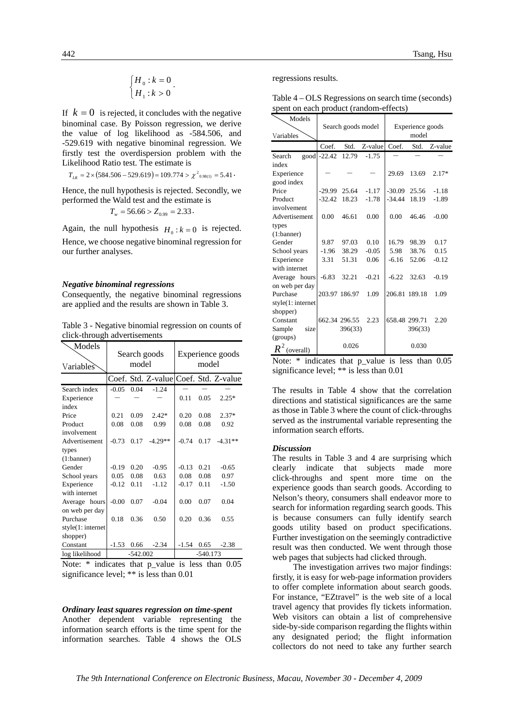$$
\begin{cases} H_0 : k = 0 \\ H_1 : k > 0 \end{cases}.
$$

If  $k = 0$  is rejected, it concludes with the negative binominal case. By Poisson regression, we derive the value of log likelihood as -584.506, and -529.619 with negative binominal regression. We firstly test the overdispersion problem with the Likelihood Ratio test. The estimate is

$$
T_{LR} = 2 \times (584.506 - 529.619) = 109.774 > \chi^2_{0.98(1)} = 5.41 \cdot
$$

Hence, the null hypothesis is rejected. Secondly, we performed the Wald test and the estimate is

$$
T_w = 56.66 > Z_{0.99} = 2.33.
$$

Again, the null hypothesis  $H_0: k = 0$  is rejected. Hence, we choose negative binominal regression for our further analyses.

#### *Negative binominal regressions*

Consequently, the negative binominal regressions are applied and the results are shown in Table 3.

Table 3 - Negative binomial regression on counts of click-through advertisements

| Models<br>Variables                                                                                                                                                                                                                                                                                                                                    |            | model | Search goods | Experience goods<br>model |      |                                       |  |
|--------------------------------------------------------------------------------------------------------------------------------------------------------------------------------------------------------------------------------------------------------------------------------------------------------------------------------------------------------|------------|-------|--------------|---------------------------|------|---------------------------------------|--|
|                                                                                                                                                                                                                                                                                                                                                        |            |       |              |                           |      | Coef. Std. Z-value Coef. Std. Z-value |  |
| Search index                                                                                                                                                                                                                                                                                                                                           | $-0.05$    | 0.04  | $-1.24$      |                           |      |                                       |  |
| Experience                                                                                                                                                                                                                                                                                                                                             |            |       |              | 0.11                      | 0.05 | $2.25*$                               |  |
| index                                                                                                                                                                                                                                                                                                                                                  |            |       |              |                           |      |                                       |  |
| Price                                                                                                                                                                                                                                                                                                                                                  | 0.21       | 0.09  | $2.42*$      | 0.20                      | 0.08 | $2.37*$                               |  |
| Product                                                                                                                                                                                                                                                                                                                                                | 0.08       | 0.08  | 0.99         | 0.08                      | 0.08 | 0.92                                  |  |
| involvement                                                                                                                                                                                                                                                                                                                                            |            |       |              |                           |      |                                       |  |
| Advertisement                                                                                                                                                                                                                                                                                                                                          | $-0.73$    | 0.17  | $-4.29**$    | $-0.74$                   | 0.17 | $-4.31**$                             |  |
| types                                                                                                                                                                                                                                                                                                                                                  |            |       |              |                           |      |                                       |  |
| (1:banner)                                                                                                                                                                                                                                                                                                                                             |            |       |              |                           |      |                                       |  |
| Gender                                                                                                                                                                                                                                                                                                                                                 | $-0.19$    | 0.20  | $-0.95$      | $-0.13$                   | 0.21 | $-0.65$                               |  |
| School years                                                                                                                                                                                                                                                                                                                                           | 0.05       | 0.08  | 0.63         | 0.08                      | 0.08 | 0.97                                  |  |
| Experience                                                                                                                                                                                                                                                                                                                                             | $-0.12$    | 0.11  | $-1.12$      | $-0.17$                   | 0.11 | $-1.50$                               |  |
| with internet                                                                                                                                                                                                                                                                                                                                          |            |       |              |                           |      |                                       |  |
| Average hours                                                                                                                                                                                                                                                                                                                                          | $-0.00$    | 0.07  | $-0.04$      | 0.00                      | 0.07 | 0.04                                  |  |
| on web per day                                                                                                                                                                                                                                                                                                                                         |            |       |              |                           |      |                                       |  |
| Purchase                                                                                                                                                                                                                                                                                                                                               | 0.18       | 0.36  | 0.50         | 0.20                      | 0.36 | 0.55                                  |  |
| style(1:internet)                                                                                                                                                                                                                                                                                                                                      |            |       |              |                           |      |                                       |  |
| shopper)                                                                                                                                                                                                                                                                                                                                               |            |       |              |                           |      |                                       |  |
| Constant                                                                                                                                                                                                                                                                                                                                               | $-1.53$    | 0.66  | $-2.34$      | $-1.54$                   | 0.65 | $-2.38$                               |  |
| log likelihood                                                                                                                                                                                                                                                                                                                                         | $-542.002$ |       |              | $-540.173$                |      |                                       |  |
| $\mathbf{M}$ and $\mathbf{M}$ and $\mathbf{M}$ and $\mathbf{M}$ and $\mathbf{M}$ are $\mathbf{M}$ and $\mathbf{M}$ and $\mathbf{M}$ are $\mathbf{M}$ and $\mathbf{M}$ and $\mathbf{M}$ are $\mathbf{M}$ and $\mathbf{M}$ are $\mathbf{M}$ and $\mathbf{M}$ are $\mathbf{M}$ and $\mathbf{M}$ are<br>$\mathbf{1}$<br>$\Omega$<br>$\mathbf{1}$<br>$\sim$ |            |       |              |                           |      |                                       |  |

Note:  $*$  indicates that p value is less than 0.05 significance level; \*\* is less than 0.01

#### *Ordinary least squares regression on time-spent*

Another dependent variable representing the information search efforts is the time spent for the information searches. Table 4 shows the OLS

regressions results.

Table 4 – OLS Regressions on search time (seconds) spent on each product (random-effects)

| Models           |             | Search goods model |            | Experience goods |               |         |  |
|------------------|-------------|--------------------|------------|------------------|---------------|---------|--|
| Variables        |             |                    |            | model            |               |         |  |
|                  | Coef.       | Std.               | $Z$ -value | Coef.            | Std.          | Z-value |  |
| Search           | good -22.42 | 12.79              | $-1.75$    |                  |               |         |  |
| index            |             |                    |            |                  |               |         |  |
| Experience       |             |                    |            | 29.69            | 13.69         | $2.17*$ |  |
| good index       |             |                    |            |                  |               |         |  |
| Price            | $-29.99$    | 25.64              | $-1.17$    | $-30.09$         | 25.56         | $-1.18$ |  |
| Product          | $-32.42$    | 18.23              | $-1.78$    | $-34.44$         | 18.19         | $-1.89$ |  |
| involvement      |             |                    |            |                  |               |         |  |
| Advertisement    | 0.00        | 46.61              | 0.00       | 0.00             | 46.46         | $-0.00$ |  |
| types            |             |                    |            |                  |               |         |  |
| (1:banner)       |             |                    |            |                  |               |         |  |
| Gender           | 9.87        | 97.03              | 0.10       | 16.79            | 98.39         | 0.17    |  |
| School years     | $-1.96$     | 38.29              | $-0.05$    | 5.98             | 38.76         | 0.15    |  |
| Experience       | 3.31        | 51.31              | 0.06       | $-6.16$          | 52.06         | $-0.12$ |  |
| with internet    |             |                    |            |                  |               |         |  |
| Average hours    | $-6.83$     | 32.21              | $-0.21$    | $-6.22$          | 32.63         | $-0.19$ |  |
| on web per day   |             |                    |            |                  |               |         |  |
| Purchase         |             | 203.97 186.97      | 1.09       | 206.81           | 189.18        | 1.09    |  |
| style(1:internet |             |                    |            |                  |               |         |  |
| shopper)         |             |                    |            |                  |               |         |  |
| Constant         |             | 662.34 296.55      | 2.23       |                  | 658.48 299.71 | 2.20    |  |
| Sample<br>size   |             | 396(33)            |            |                  | 396(33)       |         |  |
| (groups)         |             |                    |            |                  |               |         |  |
| $R^2$ (overall)  |             | 0.026              |            |                  | 0.030         |         |  |

Note:  $*$  indicates that p value is less than  $0.05$ significance level; \*\* is less than 0.01

The results in Table 4 show that the correlation directions and statistical significances are the same as those in Table 3 where the count of click-throughs served as the instrumental variable representing the information search efforts.

#### *Discussion*

The results in Table 3 and 4 are surprising which clearly indicate that subjects made more click-throughs and spent more time on the experience goods than search goods. According to Nelson's theory, consumers shall endeavor more to search for information regarding search goods. This is because consumers can fully identify search goods utility based on product specifications. Further investigation on the seemingly contradictive result was then conducted. We went through those web pages that subjects had clicked through.

 The investigation arrives two major findings: firstly, it is easy for web-page information providers to offer complete information about search goods. For instance, "EZtravel" is the web site of a local travel agency that provides fly tickets information. Web visitors can obtain a list of comprehensive side-by-side comparison regarding the flights within any designated period; the flight information collectors do not need to take any further search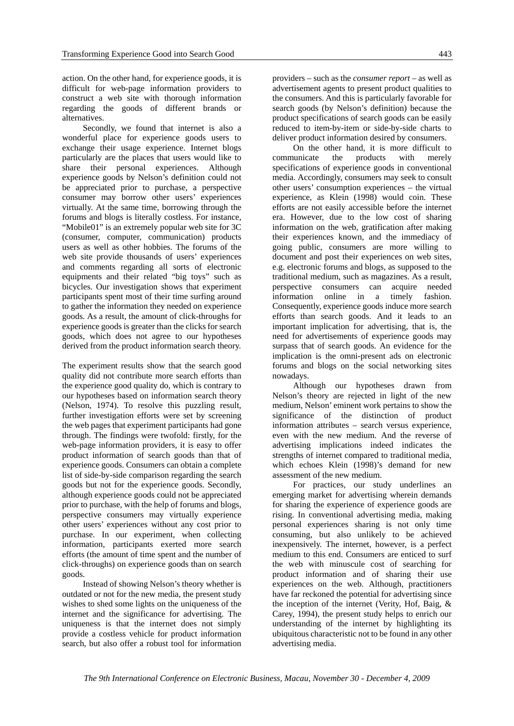action. On the other hand, for experience goods, it is difficult for web-page information providers to construct a web site with thorough information regarding the goods of different brands or alternatives.

 Secondly, we found that internet is also a wonderful place for experience goods users to exchange their usage experience. Internet blogs particularly are the places that users would like to share their personal experiences. Although experience goods by Nelson's definition could not be appreciated prior to purchase, a perspective consumer may borrow other users' experiences virtually. At the same time, borrowing through the forums and blogs is literally costless. For instance, "Mobile01" is an extremely popular web site for 3C (consumer, computer, communication) products users as well as other hobbies. The forums of the web site provide thousands of users' experiences and comments regarding all sorts of electronic equipments and their related "big toys" such as bicycles. Our investigation shows that experiment participants spent most of their time surfing around to gather the information they needed on experience goods. As a result, the amount of click-throughs for experience goods is greater than the clicks for search goods, which does not agree to our hypotheses derived from the product information search theory.

The experiment results show that the search good quality did not contribute more search efforts than the experience good quality do, which is contrary to our hypotheses based on information search theory (Nelson, 1974). To resolve this puzzling result, further investigation efforts were set by screening the web pages that experiment participants had gone through. The findings were twofold: firstly, for the web-page information providers, it is easy to offer product information of search goods than that of experience goods. Consumers can obtain a complete list of side-by-side comparison regarding the search goods but not for the experience goods. Secondly, although experience goods could not be appreciated prior to purchase, with the help of forums and blogs, perspective consumers may virtually experience other users' experiences without any cost prior to purchase. In our experiment, when collecting information, participants exerted more search efforts (the amount of time spent and the number of click-throughs) on experience goods than on search goods.

 Instead of showing Nelson's theory whether is outdated or not for the new media, the present study wishes to shed some lights on the uniqueness of the internet and the significance for advertising. The uniqueness is that the internet does not simply provide a costless vehicle for product information search, but also offer a robust tool for information

providers – such as the *consumer report* – as well as advertisement agents to present product qualities to the consumers. And this is particularly favorable for search goods (by Nelson's definition) because the product specifications of search goods can be easily reduced to item-by-item or side-by-side charts to deliver product information desired by consumers.

 On the other hand, it is more difficult to communicate the products with merely specifications of experience goods in conventional media. Accordingly, consumers may seek to consult other users' consumption experiences – the virtual experience, as Klein (1998) would coin. These efforts are not easily accessible before the internet era. However, due to the low cost of sharing information on the web, gratification after making their experiences known, and the immediacy of going public, consumers are more willing to document and post their experiences on web sites, e.g. electronic forums and blogs, as supposed to the traditional medium, such as magazines. As a result, perspective consumers can acquire needed information online in a timely fashion. Consequently, experience goods induce more search efforts than search goods. And it leads to an important implication for advertising, that is, the need for advertisements of experience goods may surpass that of search goods. An evidence for the implication is the omni-present ads on electronic forums and blogs on the social networking sites nowadays.

 Although our hypotheses drawn from Nelson's theory are rejected in light of the new medium, Nelson' eminent work pertains to show the significance of the distinction of product information attributes – search versus experience, even with the new medium. And the reverse of advertising implications indeed indicates the strengths of internet compared to traditional media, which echoes Klein (1998)'s demand for new assessment of the new medium.

 For practices, our study underlines an emerging market for advertising wherein demands for sharing the experience of experience goods are rising. In conventional advertising media, making personal experiences sharing is not only time consuming, but also unlikely to be achieved inexpensively. The internet, however, is a perfect medium to this end. Consumers are enticed to surf the web with minuscule cost of searching for product information and of sharing their use experiences on the web. Although, practitioners have far reckoned the potential for advertising since the inception of the internet (Verity, Hof, Baig, & Carey, 1994), the present study helps to enrich our understanding of the internet by highlighting its ubiquitous characteristic not to be found in any other advertising media.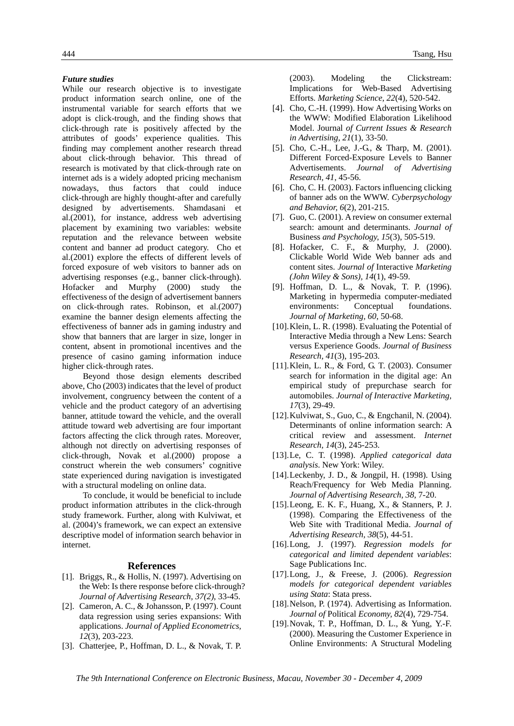#### *Future studies*

While our research objective is to investigate product information search online, one of the instrumental variable for search efforts that we adopt is click-trough, and the finding shows that click-through rate is positively affected by the attributes of goods' experience qualities. This finding may complement another research thread about click-through behavior. This thread of research is motivated by that click-through rate on internet ads is a widely adopted pricing mechanism nowadays, thus factors that could induce click-through are highly thought-after and carefully designed by advertisements. Shamdasani et al.(2001), for instance, address web advertising placement by examining two variables: website reputation and the relevance between website content and banner ad product category. Cho et al.(2001) explore the effects of different levels of forced exposure of web visitors to banner ads on advertising responses (e.g., banner click-through). Hofacker and Murphy (2000) study the effectiveness of the design of advertisement banners on click-through rates. Robinson, et al.(2007) examine the banner design elements affecting the effectiveness of banner ads in gaming industry and show that banners that are larger in size, longer in content, absent in promotional incentives and the presence of casino gaming information induce higher click-through rates.

 Beyond those design elements described above, Cho (2003) indicates that the level of product involvement, congruency between the content of a vehicle and the product category of an advertising banner, attitude toward the vehicle, and the overall attitude toward web advertising are four important factors affecting the click through rates. Moreover, although not directly on advertising responses of click-through, Novak et al.(2000) propose a construct wherein the web consumers' cognitive state experienced during navigation is investigated with a structural modeling on online data.

 To conclude, it would be beneficial to include product information attributes in the click-through study framework. Further, along with Kulviwat, et al. (2004)'s framework, we can expect an extensive descriptive model of information search behavior in internet.

#### **References**

- [1]. Briggs, R., & Hollis, N. (1997). Advertising on the Web: Is there response before click-through? *Journal of Advertising Research, 37(2)*, 33-45.
- [2]. Cameron, A. C., & Johansson, P. (1997). Count data regression using series expansions: With applications. *Journal of Applied Econometrics, 12*(3), 203-223.
- [3]. Chatterjee, P., Hoffman, D. L., & Novak, T. P.

444 Tsang, Hsu

(2003). Modeling the Clickstream: Implications for Web-Based Advertising Efforts. *Marketing Science, 22*(4), 520-542.

- [4]. Cho, C.-H. (1999). How Advertising Works on the WWW: Modified Elaboration Likelihood Model. Journal *of Current Issues & Research in Advertising, 21*(1), 33-50.
- [5]. Cho, C.-H., Lee, J.-G., & Tharp, M. (2001). Different Forced-Exposure Levels to Banner Advertisements. *Journal of Advertising Research, 41*, 45-56.
- [6]. Cho, C. H. (2003). Factors influencing clicking of banner ads on the WWW. *Cyberpsychology and Behavior, 6*(2), 201-215.
- [7]. Guo, C. (2001). A review on consumer external search: amount and determinants. *Journal of*  Business *and Psychology, 15*(3), 505-519.
- [8]. Hofacker, C. F., & Murphy, J. (2000). Clickable World Wide Web banner ads and content sites. *Journal of* Interactive *Marketing (John Wiley & Sons), 14*(1), 49-59.
- [9]. Hoffman, D. L., & Novak, T. P. (1996). Marketing in hypermedia computer-mediated environments: Conceptual foundations. *Journal of Marketing, 60*, 50-68.
- [10]. Klein, L. R. (1998). Evaluating the Potential of Interactive Media through a New Lens: Search versus Experience Goods. *Journal of Business Research, 41*(3), 195-203.
- [11].Klein, L. R., & Ford, G. T. (2003). Consumer search for information in the digital age: An empirical study of prepurchase search for automobiles. *Journal of Interactive Marketing, 17*(3), 29-49.
- [12].Kulviwat, S., Guo, C., & Engchanil, N. (2004). Determinants of online information search: A critical review and assessment. *Internet Research, 14*(3), 245-253.
- [13].Le, C. T. (1998). *Applied categorical data analysis*. New York: Wiley.
- [14].Leckenby, J. D., & Jongpil, H. (1998). Using Reach/Frequency for Web Media Planning. *Journal of Advertising Research, 38*, 7-20.
- [15].Leong, E. K. F., Huang, X., & Stanners, P. J. (1998). Comparing the Effectiveness of the Web Site with Traditional Media. *Journal of Advertising Research, 38*(5), 44-51.
- [16].Long, J. (1997). *Regression models for categorical and limited dependent variables*: Sage Publications Inc.
- [17].Long, J., & Freese, J. (2006). *Regression models for categorical dependent variables using Stata*: Stata press.
- [18].Nelson, P. (1974). Advertising as Information. *Journal of* Political *Economy, 82*(4), 729-754.
- [19].Novak, T. P., Hoffman, D. L., & Yung, Y.-F. (2000). Measuring the Customer Experience in Online Environments: A Structural Modeling